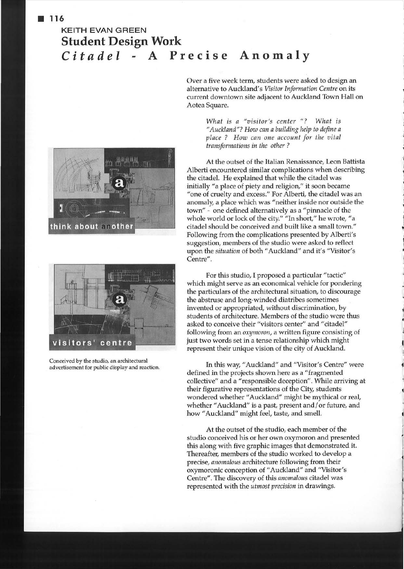## **KEITH EVAN GREEN Student Design Work**  *Citadel* **A Precise Anomaly**





Conceived by the studio, an architectural advertisement for public display and reaction.

Over a five week term, students were asked to design an alternative to Auckland's *Visitor Information Centre* on its current downtown site adjacent to Auckland Town Hall on Aotea Square.

> *What is a "visitor's center "? What is "Auckland"? How can a building help to define a place ? How can one account for the vital transformations in the other ?*

At the outset of the Italian Renaissance, Leon Battista Alberti encountered similar complications when describing the citadel. He explained that while the citadel was initially "a place of piety and religion," it soon became "one of cruelty and excess." For Alberti, the citadel was an anomaly, a place which was "neither inside nor outside the town" - one defined alternatively as a "pinnacle of the whole world or lock of the city." "In short," he wrote, "a citadel should be conceived and built like a small town." Following from the complications presented by Alberti's suggestion, members of the studio were asked to reflect upon the *situation* of both "Auckland" and it's "Visitor's Centre".

For this studio, I proposed a particular "tactic" which might serve as an economical vehicle for pondering the particulars of the architectural situation, to discourage the abstruse and long-winded diatribes sometimes invented or appropriated, without discrimination, by students of architecture. Members of the studio were thus asked to conceive their "visitors center" and "citadel" following from an *oxymoron,* a written figure consisting of just two words set in a tense relationship which might represent their unique vision of the city of Auckland.

In this way, "Auckland" and "Visitor's Centre" were defined in the projects shown here as a "fragmented collective" and a "responsible deception". While arriving at their figurative representations of the City, students wondered whether "Auckland" might be mythical or real, whether "Auckland" is a past, present and/or future, and how "Auckland" might feel, taste, and smell.

At the outset of the studio, each member of the studio conceived his or her own oxymoron and presented this along with five graphic images that demonstrated it. Thereafter, members of the studio worked to develop a precise, *anomalous* architecture following from their oxymoronic conception of "Auckland" and "Visitor's Centre". The discovery of this *anomalous* citadel was represented with the *utmost precision* in drawings.